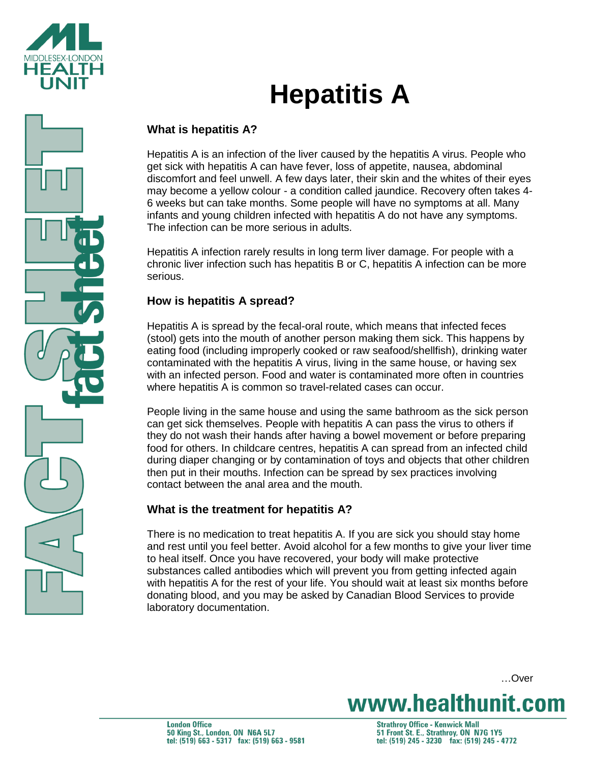

# **Hepatitis A**

## **What is hepatitis A?**

Hepatitis A is an infection of the liver caused by the hepatitis A virus. People who get sick with hepatitis A can have fever, loss of appetite, nausea, abdominal discomfort and feel unwell. A few days later, their skin and the whites of their eyes may become a yellow colour - a condition called jaundice. Recovery often takes 4- 6 weeks but can take months. Some people will have no symptoms at all. Many infants and young children infected with hepatitis A do not have any symptoms. The infection can be more serious in adults.

Hepatitis A infection rarely results in long term liver damage. For people with a chronic liver infection such has hepatitis B or C, hepatitis A infection can be more serious.

## **How is hepatitis A spread?**

Hepatitis A is spread by the fecal-oral route, which means that infected feces (stool) gets into the mouth of another person making them sick. This happens by eating food (including improperly cooked or raw seafood/shellfish), drinking water contaminated with the hepatitis A virus, living in the same house, or having sex with an infected person. Food and water is contaminated more often in countries where hepatitis A is common so travel-related cases can occur.

People living in the same house and using the same bathroom as the sick person can get sick themselves. People with hepatitis A can pass the virus to others if they do not wash their hands after having a bowel movement or before preparing food for others. In childcare centres, hepatitis A can spread from an infected child during diaper changing or by contamination of toys and objects that other children then put in their mouths. Infection can be spread by sex practices involving contact between the anal area and the mouth.

## **What is the treatment for hepatitis A?**

There is no medication to treat hepatitis A. If you are sick you should stay home and rest until you feel better. Avoid alcohol for a few months to give your liver time to heal itself. Once you have recovered, your body will make protective substances called antibodies which will prevent you from getting infected again with hepatitis A for the rest of your life. You should wait at least six months before donating blood, and you may be asked by Canadian Blood Services to provide laboratory documentation.

…Over

www.healthunit.com